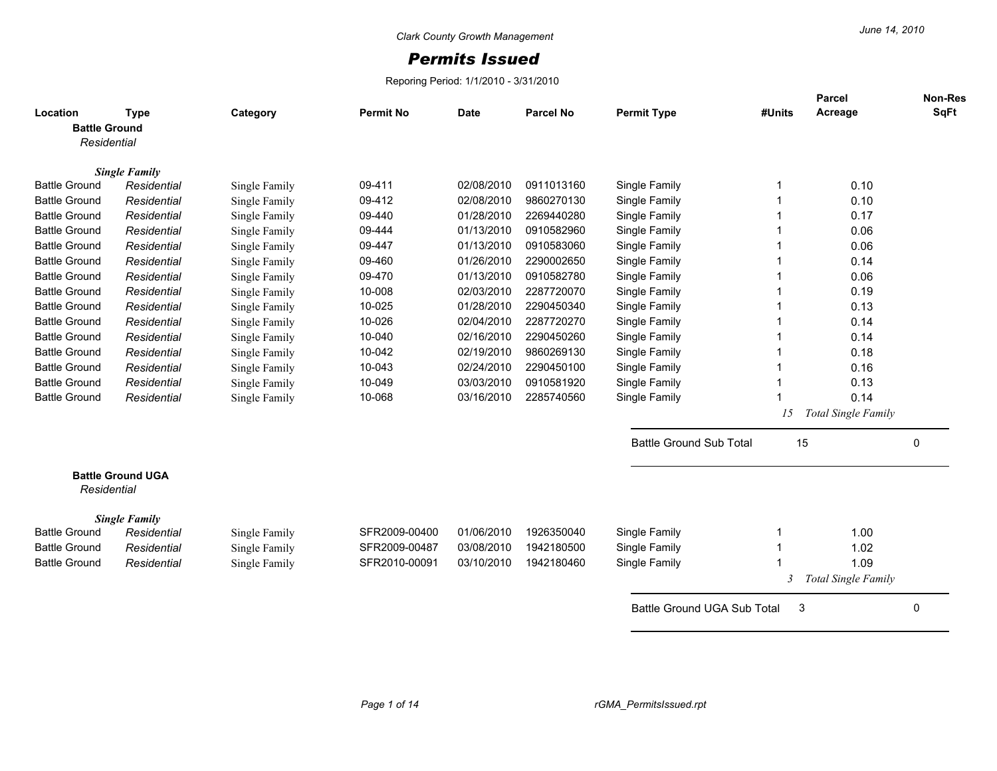## *Permits Issued*

Reporing Period: 1/1/2010 - 3/31/2010

| Location<br><b>Battle Ground</b> | Type                     | Category      | <b>Permit No</b> | <b>Date</b> | Parcel No  | <b>Permit Type</b>             | #Units | Parcel<br>Acreage          | Non-Res<br><b>SqFt</b> |
|----------------------------------|--------------------------|---------------|------------------|-------------|------------|--------------------------------|--------|----------------------------|------------------------|
| Residential                      |                          |               |                  |             |            |                                |        |                            |                        |
|                                  | <b>Single Family</b>     |               |                  |             |            |                                |        |                            |                        |
| <b>Battle Ground</b>             | Residential              | Single Family | 09-411           | 02/08/2010  | 0911013160 | Single Family                  |        | 0.10                       |                        |
| <b>Battle Ground</b>             | Residential              | Single Family | 09-412           | 02/08/2010  | 9860270130 | Single Family                  |        | 0.10                       |                        |
| <b>Battle Ground</b>             | Residential              | Single Family | 09-440           | 01/28/2010  | 2269440280 | Single Family                  |        | 0.17                       |                        |
| <b>Battle Ground</b>             | Residential              | Single Family | 09-444           | 01/13/2010  | 0910582960 | Single Family                  |        | 0.06                       |                        |
| <b>Battle Ground</b>             | Residential              | Single Family | 09-447           | 01/13/2010  | 0910583060 | Single Family                  |        | 0.06                       |                        |
| <b>Battle Ground</b>             | Residential              | Single Family | 09-460           | 01/26/2010  | 2290002650 | Single Family                  |        | 0.14                       |                        |
| <b>Battle Ground</b>             | Residential              | Single Family | 09-470           | 01/13/2010  | 0910582780 | Single Family                  |        | 0.06                       |                        |
| <b>Battle Ground</b>             | Residential              | Single Family | 10-008           | 02/03/2010  | 2287720070 | Single Family                  |        | 0.19                       |                        |
| <b>Battle Ground</b>             | Residential              | Single Family | 10-025           | 01/28/2010  | 2290450340 | Single Family                  |        | 0.13                       |                        |
| <b>Battle Ground</b>             | Residential              | Single Family | 10-026           | 02/04/2010  | 2287720270 | Single Family                  |        | 0.14                       |                        |
| <b>Battle Ground</b>             | Residential              | Single Family | 10-040           | 02/16/2010  | 2290450260 | Single Family                  |        | 0.14                       |                        |
| <b>Battle Ground</b>             | Residential              | Single Family | 10-042           | 02/19/2010  | 9860269130 | Single Family                  |        | 0.18                       |                        |
| <b>Battle Ground</b>             | Residential              | Single Family | 10-043           | 02/24/2010  | 2290450100 | Single Family                  |        | 0.16                       |                        |
| <b>Battle Ground</b>             | Residential              | Single Family | 10-049           | 03/03/2010  | 0910581920 | Single Family                  |        | 0.13                       |                        |
| <b>Battle Ground</b>             | Residential              | Single Family | 10-068           | 03/16/2010  | 2285740560 | Single Family                  |        | 0.14                       |                        |
|                                  |                          |               |                  |             |            |                                | 15     | <b>Total Single Family</b> |                        |
|                                  |                          |               |                  |             |            | <b>Battle Ground Sub Total</b> | 15     |                            | 0                      |
| Residential                      | <b>Battle Ground UGA</b> |               |                  |             |            |                                |        |                            |                        |
|                                  | <b>Single Family</b>     |               |                  |             |            |                                |        |                            |                        |
| <b>Battle Ground</b>             | Residential              | Single Family | SFR2009-00400    | 01/06/2010  | 1926350040 | Single Family                  |        | 1.00                       |                        |
| <b>Battle Ground</b>             | Residential              | Single Family | SFR2009-00487    | 03/08/2010  | 1942180500 | Single Family                  |        | 1.02                       |                        |
| <b>Battle Ground</b>             | Residential              | Single Family | SFR2010-00091    | 03/10/2010  | 1942180460 | Single Family                  |        | 1.09                       |                        |
|                                  |                          |               |                  |             |            |                                | 3      | Total Single Family        |                        |
|                                  |                          |               |                  |             |            | Battle Ground UGA Sub Total    | 3      |                            | 0                      |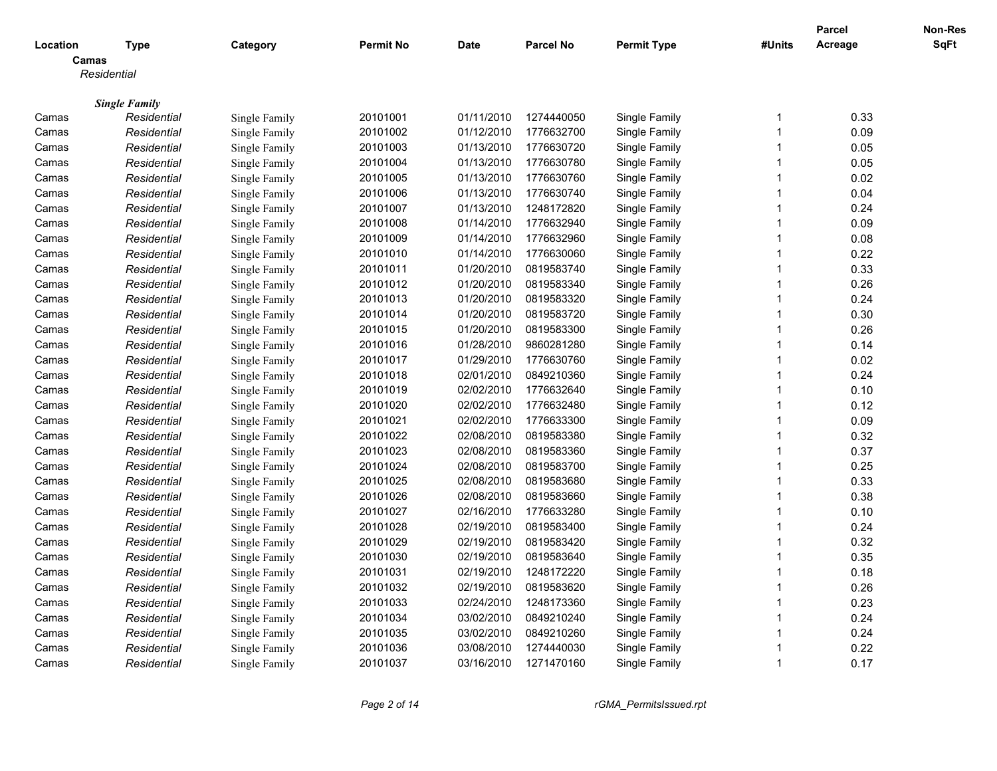|                |                                     |                                |                      |                          |                          |                    |                         | <b>Parcel</b> | Non-Res     |
|----------------|-------------------------------------|--------------------------------|----------------------|--------------------------|--------------------------|--------------------|-------------------------|---------------|-------------|
| Location       | <b>Type</b>                         | Category                       | <b>Permit No</b>     | <b>Date</b>              | <b>Parcel No</b>         | <b>Permit Type</b> | #Units                  | Acreage       | <b>SqFt</b> |
|                | Camas                               |                                |                      |                          |                          |                    |                         |               |             |
|                | Residential                         |                                |                      |                          |                          |                    |                         |               |             |
|                |                                     |                                |                      |                          |                          |                    |                         |               |             |
| Camas          | <b>Single Family</b><br>Residential | Single Family                  | 20101001             | 01/11/2010               | 1274440050               | Single Family      | -1                      | 0.33          |             |
| Camas          | Residential                         | Single Family                  | 20101002             | 01/12/2010               | 1776632700               | Single Family      | -1                      | 0.09          |             |
| Camas          | Residential                         | Single Family                  | 20101003             | 01/13/2010               | 1776630720               | Single Family      | $\mathbf{1}$            | 0.05          |             |
| Camas          | Residential                         | Single Family                  | 20101004             | 01/13/2010               | 1776630780               | Single Family      | 1                       | 0.05          |             |
| Camas          | Residential                         | Single Family                  | 20101005             | 01/13/2010               | 1776630760               | Single Family      | $\mathbf{1}$            | 0.02          |             |
| Camas          | Residential                         | Single Family                  | 20101006             | 01/13/2010               | 1776630740               | Single Family      | -1                      | 0.04          |             |
| Camas          | Residential                         | Single Family                  | 20101007             | 01/13/2010               | 1248172820               | Single Family      | 1                       | 0.24          |             |
| Camas          | Residential                         | Single Family                  | 20101008             | 01/14/2010               | 1776632940               | Single Family      | 1                       | 0.09          |             |
| Camas          | Residential                         | Single Family                  | 20101009             | 01/14/2010               | 1776632960               | Single Family      | $\mathbf{1}$            | 0.08          |             |
| Camas          | Residential                         | Single Family                  | 20101010             | 01/14/2010               | 1776630060               | Single Family      | 1                       | 0.22          |             |
| Camas          | Residential                         | Single Family                  | 20101011             | 01/20/2010               | 0819583740               | Single Family      | $\mathbf{1}$            | 0.33          |             |
| Camas          | Residential                         | Single Family                  | 20101012             | 01/20/2010               | 0819583340               | Single Family      | $\mathbf{1}$            | 0.26          |             |
| Camas          | Residential                         | Single Family                  | 20101013             | 01/20/2010               | 0819583320               | Single Family      | $\mathbf{1}$            | 0.24          |             |
| Camas          | Residential                         | Single Family                  | 20101014             | 01/20/2010               | 0819583720               | Single Family      | $\overline{1}$          | 0.30          |             |
| Camas          | Residential                         | Single Family                  | 20101015             | 01/20/2010               | 0819583300               | Single Family      | 1                       | 0.26          |             |
| Camas          | Residential                         | Single Family                  | 20101016             | 01/28/2010               | 9860281280               | Single Family      | $\overline{1}$          | 0.14          |             |
| Camas          | Residential                         | Single Family                  | 20101017             | 01/29/2010               | 1776630760               | Single Family      | 1                       | 0.02          |             |
|                |                                     | Single Family                  | 20101018             | 02/01/2010               | 0849210360               | Single Family      | $\mathbf{1}$            | 0.24          |             |
| Camas          | Residential                         |                                | 20101019             | 02/02/2010               | 1776632640               | Single Family      | $\mathbf{1}$            | 0.10          |             |
| Camas<br>Camas | Residential<br>Residential          | Single Family<br>Single Family | 20101020             | 02/02/2010               | 1776632480               | Single Family      | $\mathbf{1}$            | 0.12          |             |
|                | Residential                         |                                | 20101021             | 02/02/2010               | 1776633300               |                    | $\mathbf{1}$            | 0.09          |             |
| Camas          |                                     | Single Family                  |                      |                          |                          | Single Family      | $\overline{1}$          |               |             |
| Camas          | Residential                         | Single Family                  | 20101022<br>20101023 | 02/08/2010<br>02/08/2010 | 0819583380<br>0819583360 | Single Family      | $\overline{\mathbf{1}}$ | 0.32          |             |
| Camas          | Residential                         | Single Family                  | 20101024             | 02/08/2010               | 0819583700               | Single Family      | $\mathbf{1}$            | 0.37          |             |
| Camas          | Residential                         | Single Family                  |                      |                          |                          | Single Family      |                         | 0.25          |             |
| Camas          | Residential                         | Single Family                  | 20101025             | 02/08/2010               | 0819583680               | Single Family      | $\mathbf{1}$            | 0.33          |             |
| Camas          | Residential                         | Single Family                  | 20101026             | 02/08/2010<br>02/16/2010 | 0819583660               | Single Family      | $\mathbf{1}$            | 0.38          |             |
| Camas          | Residential                         | Single Family                  | 20101027             |                          | 1776633280               | Single Family      | 1                       | 0.10          |             |
| Camas          | Residential                         | Single Family                  | 20101028             | 02/19/2010               | 0819583400               | Single Family      | $\mathbf{1}$            | 0.24          |             |
| Camas          | Residential                         | Single Family                  | 20101029             | 02/19/2010               | 0819583420               | Single Family      | $\overline{\mathbf{1}}$ | 0.32          |             |
| Camas          | Residential                         | Single Family                  | 20101030             | 02/19/2010               | 0819583640               | Single Family      | $\overline{1}$          | 0.35          |             |
| Camas          | Residential                         | Single Family                  | 20101031             | 02/19/2010               | 1248172220               | Single Family      | 1                       | 0.18          |             |
| Camas          | Residential                         | Single Family                  | 20101032             | 02/19/2010               | 0819583620               | Single Family      | $\overline{1}$          | 0.26          |             |
| Camas          | Residential                         | Single Family                  | 20101033             | 02/24/2010               | 1248173360               | Single Family      | 1                       | 0.23          |             |
| Camas          | Residential                         | Single Family                  | 20101034             | 03/02/2010               | 0849210240               | Single Family      | 1                       | 0.24          |             |
| Camas          | Residential                         | Single Family                  | 20101035             | 03/02/2010               | 0849210260               | Single Family      | $\overline{1}$          | 0.24          |             |
| Camas          | Residential                         | Single Family                  | 20101036             | 03/08/2010               | 1274440030               | Single Family      | $\overline{1}$          | 0.22          |             |
| Camas          | Residential                         | Single Family                  | 20101037             | 03/16/2010               | 1271470160               | Single Family      | 1                       | 0.17          |             |

*Page 2 of 14 rGMA\_PermitsIssued.rpt*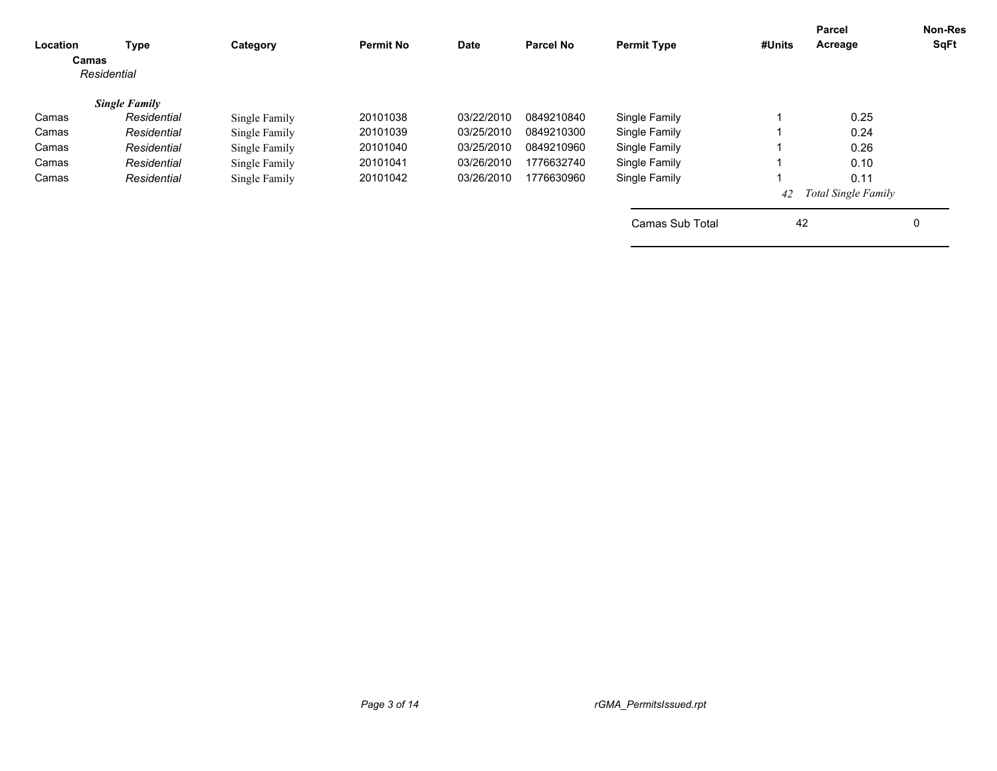| Location<br>Camas | <b>Type</b><br>Residential | Category      | <b>Permit No</b> | Date       | <b>Parcel No</b> | <b>Permit Type</b> | #Units | Parcel<br>Acreage   | <b>Non-Res</b><br>SqFt |
|-------------------|----------------------------|---------------|------------------|------------|------------------|--------------------|--------|---------------------|------------------------|
|                   | <b>Single Family</b>       |               |                  |            |                  |                    |        |                     |                        |
| Camas             | Residential                | Single Family | 20101038         | 03/22/2010 | 0849210840       | Single Family      |        | 0.25                |                        |
| Camas             | Residential                | Single Family | 20101039         | 03/25/2010 | 0849210300       | Single Family      |        | 0.24                |                        |
| Camas             | Residential                | Single Family | 20101040         | 03/25/2010 | 0849210960       | Single Family      |        | 0.26                |                        |
| Camas             | Residential                | Single Family | 20101041         | 03/26/2010 | 1776632740       | Single Family      |        | 0.10                |                        |
| Camas             | Residential                | Single Family | 20101042         | 03/26/2010 | 1776630960       | Single Family      |        | 0.11                |                        |
|                   |                            |               |                  |            |                  |                    | 42     | Total Single Family |                        |
|                   |                            |               |                  |            |                  | Camas Sub Total    | 42     |                     | 0                      |
|                   |                            |               |                  |            |                  |                    |        |                     |                        |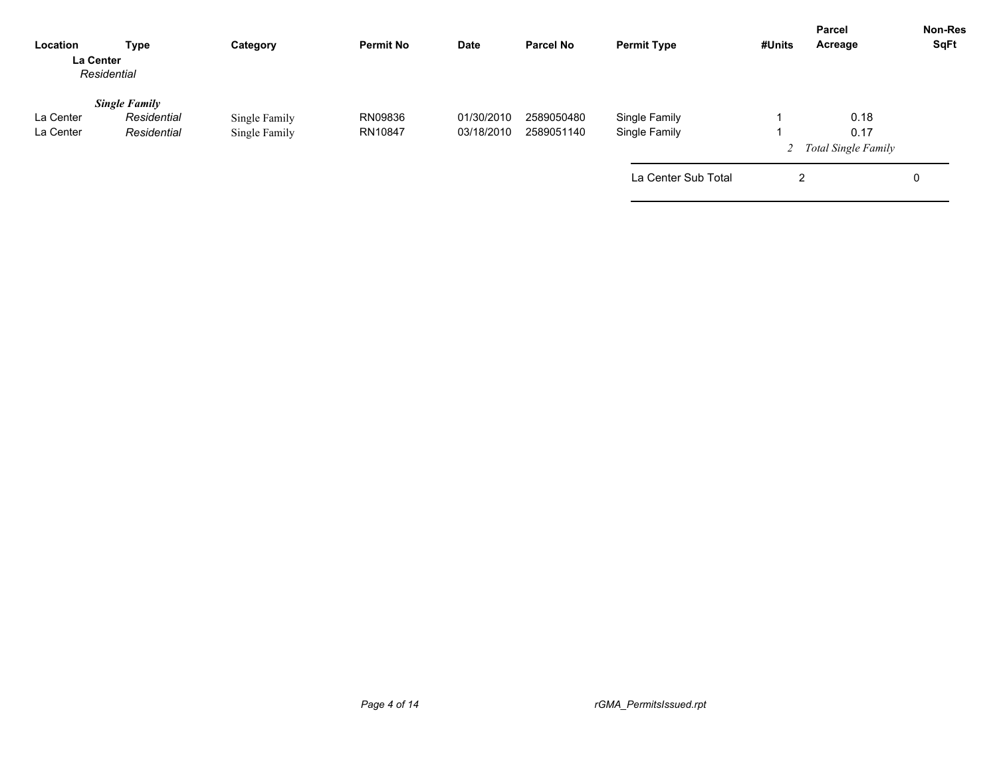| Location<br>La Center  | Type<br>Residential                                | Category                       | <b>Permit No</b>   | Date                     | <b>Parcel No</b>         | <b>Permit Type</b>             | #Units | <b>Parcel</b><br>Acreage              | <b>Non-Res</b><br>SqFt |
|------------------------|----------------------------------------------------|--------------------------------|--------------------|--------------------------|--------------------------|--------------------------------|--------|---------------------------------------|------------------------|
| La Center<br>La Center | <b>Single Family</b><br>Residential<br>Residential | Single Family<br>Single Family | RN09836<br>RN10847 | 01/30/2010<br>03/18/2010 | 2589050480<br>2589051140 | Single Family<br>Single Family |        | 0.18<br>0.17<br>2 Total Single Family |                        |
|                        |                                                    |                                |                    |                          |                          | La Center Sub Total            | 2      |                                       | 0                      |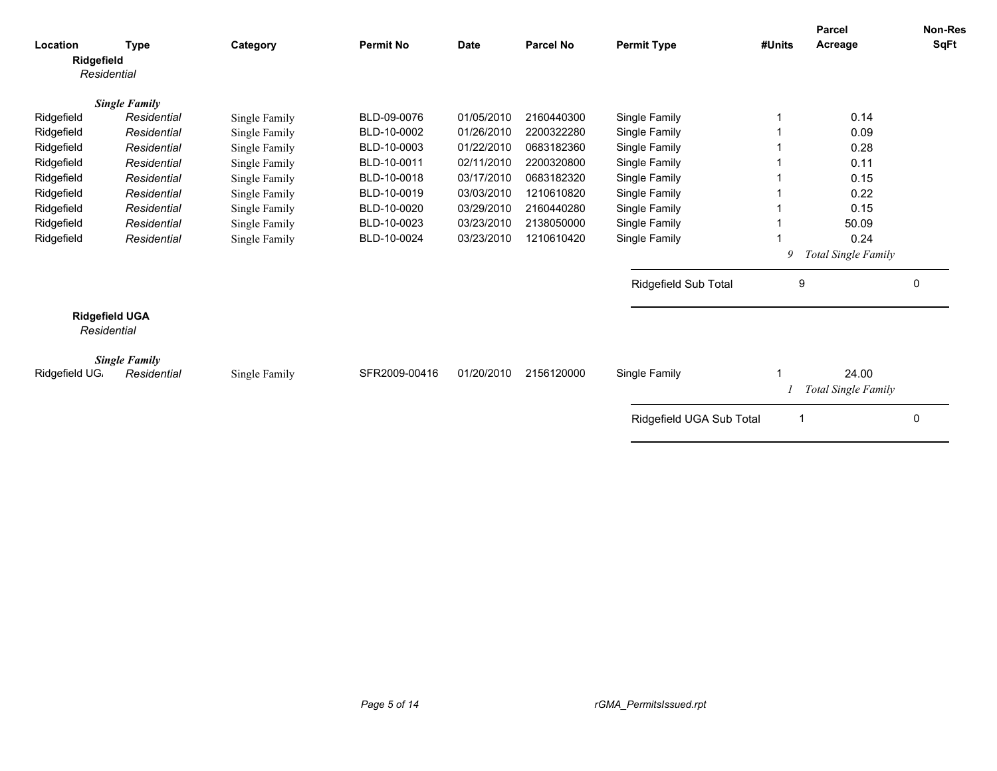| Location       | <b>Type</b>                          | Category      | <b>Permit No</b> | <b>Date</b> | <b>Parcel No</b> | <b>Permit Type</b>       | #Units | <b>Parcel</b><br>Acreage     | <b>Non-Res</b><br>SqFt |
|----------------|--------------------------------------|---------------|------------------|-------------|------------------|--------------------------|--------|------------------------------|------------------------|
| Ridgefield     | Residential                          |               |                  |             |                  |                          |        |                              |                        |
|                | <b>Single Family</b>                 |               |                  |             |                  |                          |        |                              |                        |
| Ridgefield     | Residential                          | Single Family | BLD-09-0076      | 01/05/2010  | 2160440300       | Single Family            |        | 0.14                         |                        |
| Ridgefield     | Residential                          | Single Family | BLD-10-0002      | 01/26/2010  | 2200322280       | Single Family            |        | 0.09                         |                        |
| Ridgefield     | Residential                          | Single Family | BLD-10-0003      | 01/22/2010  | 0683182360       | Single Family            |        | 0.28                         |                        |
| Ridgefield     | Residential                          | Single Family | BLD-10-0011      | 02/11/2010  | 2200320800       | Single Family            |        | 0.11                         |                        |
| Ridgefield     | Residential                          | Single Family | BLD-10-0018      | 03/17/2010  | 0683182320       | Single Family            |        | 0.15                         |                        |
| Ridgefield     | Residential                          | Single Family | BLD-10-0019      | 03/03/2010  | 1210610820       | Single Family            |        | 0.22                         |                        |
| Ridgefield     | Residential                          | Single Family | BLD-10-0020      | 03/29/2010  | 2160440280       | Single Family            |        | 0.15                         |                        |
| Ridgefield     | Residential                          | Single Family | BLD-10-0023      | 03/23/2010  | 2138050000       | Single Family            |        | 50.09                        |                        |
| Ridgefield     | Residential                          | Single Family | BLD-10-0024      | 03/23/2010  | 1210610420       | Single Family            |        | 0.24                         |                        |
|                |                                      |               |                  |             |                  |                          | 9      | <b>Total Single Family</b>   |                        |
|                |                                      |               |                  |             |                  | Ridgefield Sub Total     | 9      |                              | $\mathbf 0$            |
|                | <b>Ridgefield UGA</b><br>Residential |               |                  |             |                  |                          |        |                              |                        |
| Ridgefield UG. | <b>Single Family</b><br>Residential  | Single Family | SFR2009-00416    | 01/20/2010  | 2156120000       | Single Family            |        | 24.00<br>Total Single Family |                        |
|                |                                      |               |                  |             |                  | Ridgefield UGA Sub Total |        |                              | 0                      |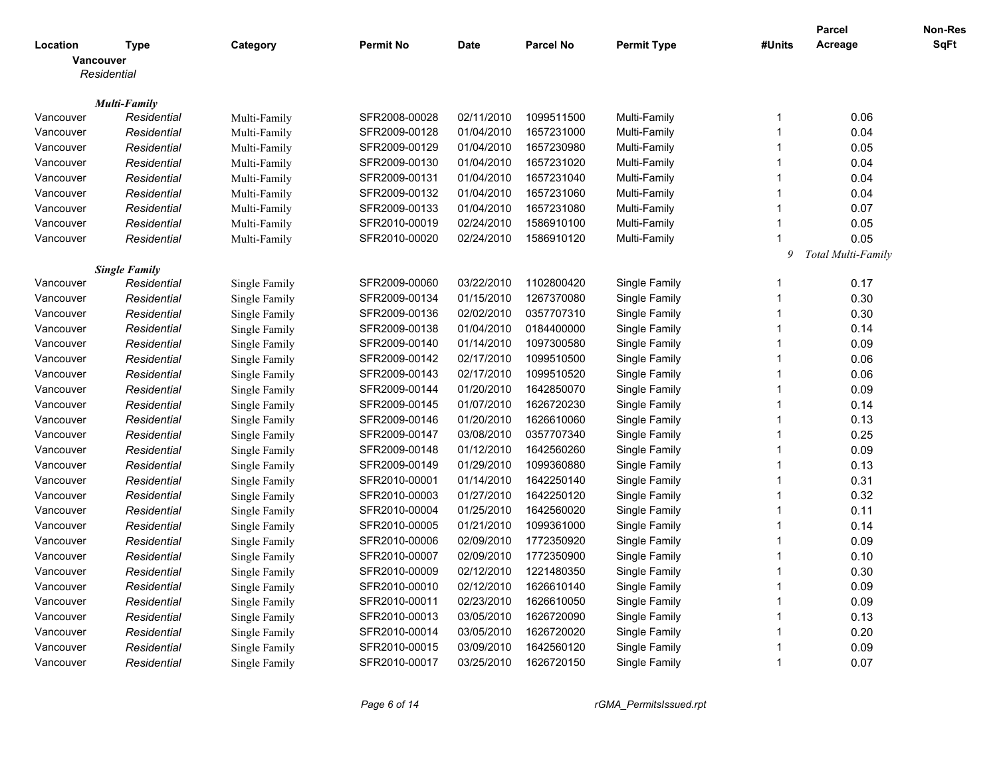|           |                      |               |                  |             |                  |                    |                         | Parcel             | <b>Non-Res</b> |
|-----------|----------------------|---------------|------------------|-------------|------------------|--------------------|-------------------------|--------------------|----------------|
| Location  | <b>Type</b>          | Category      | <b>Permit No</b> | <b>Date</b> | <b>Parcel No</b> | <b>Permit Type</b> | #Units                  | Acreage            | SqFt           |
|           | Vancouver            |               |                  |             |                  |                    |                         |                    |                |
|           | Residential          |               |                  |             |                  |                    |                         |                    |                |
|           |                      |               |                  |             |                  |                    |                         |                    |                |
|           | <b>Multi-Family</b>  |               |                  |             |                  |                    |                         |                    |                |
| Vancouver | Residential          | Multi-Family  | SFR2008-00028    | 02/11/2010  | 1099511500       | Multi-Family       | -1                      | 0.06               |                |
| Vancouver | Residential          | Multi-Family  | SFR2009-00128    | 01/04/2010  | 1657231000       | Multi-Family       | -1                      | 0.04               |                |
| Vancouver | Residential          | Multi-Family  | SFR2009-00129    | 01/04/2010  | 1657230980       | Multi-Family       | $\overline{1}$          | 0.05               |                |
| Vancouver | Residential          | Multi-Family  | SFR2009-00130    | 01/04/2010  | 1657231020       | Multi-Family       | $\overline{1}$          | 0.04               |                |
| Vancouver | Residential          | Multi-Family  | SFR2009-00131    | 01/04/2010  | 1657231040       | Multi-Family       | -1                      | 0.04               |                |
| Vancouver | Residential          | Multi-Family  | SFR2009-00132    | 01/04/2010  | 1657231060       | Multi-Family       | -1                      | 0.04               |                |
| Vancouver | Residential          | Multi-Family  | SFR2009-00133    | 01/04/2010  | 1657231080       | Multi-Family       | $\overline{1}$          | 0.07               |                |
| Vancouver | Residential          | Multi-Family  | SFR2010-00019    | 02/24/2010  | 1586910100       | Multi-Family       | 1                       | 0.05               |                |
| Vancouver | Residential          | Multi-Family  | SFR2010-00020    | 02/24/2010  | 1586910120       | Multi-Family       | $\overline{1}$          | 0.05               |                |
|           |                      |               |                  |             |                  |                    | 9                       | Total Multi-Family |                |
|           | <b>Single Family</b> |               |                  |             |                  |                    |                         |                    |                |
| Vancouver | Residential          | Single Family | SFR2009-00060    | 03/22/2010  | 1102800420       | Single Family      | -1                      | 0.17               |                |
| Vancouver | Residential          | Single Family | SFR2009-00134    | 01/15/2010  | 1267370080       | Single Family      | $\overline{1}$          | 0.30               |                |
| Vancouver | Residential          | Single Family | SFR2009-00136    | 02/02/2010  | 0357707310       | Single Family      | $\overline{1}$          | 0.30               |                |
| Vancouver | Residential          | Single Family | SFR2009-00138    | 01/04/2010  | 0184400000       | Single Family      | -1                      | 0.14               |                |
| Vancouver | Residential          | Single Family | SFR2009-00140    | 01/14/2010  | 1097300580       | Single Family      | $\overline{1}$          | 0.09               |                |
| Vancouver | Residential          | Single Family | SFR2009-00142    | 02/17/2010  | 1099510500       | Single Family      | -1                      | 0.06               |                |
| Vancouver | Residential          | Single Family | SFR2009-00143    | 02/17/2010  | 1099510520       | Single Family      | $\overline{1}$          | 0.06               |                |
| Vancouver | Residential          | Single Family | SFR2009-00144    | 01/20/2010  | 1642850070       | Single Family      | $\overline{1}$          | 0.09               |                |
| Vancouver | Residential          | Single Family | SFR2009-00145    | 01/07/2010  | 1626720230       | Single Family      | $\overline{1}$          | 0.14               |                |
| Vancouver | Residential          | Single Family | SFR2009-00146    | 01/20/2010  | 1626610060       | Single Family      | -1                      | 0.13               |                |
| Vancouver | Residential          | Single Family | SFR2009-00147    | 03/08/2010  | 0357707340       | Single Family      | $\overline{1}$          | 0.25               |                |
| Vancouver | Residential          | Single Family | SFR2009-00148    | 01/12/2010  | 1642560260       | Single Family      | $\overline{1}$          | 0.09               |                |
| Vancouver | Residential          | Single Family | SFR2009-00149    | 01/29/2010  | 1099360880       | Single Family      | -1                      | 0.13               |                |
| Vancouver | Residential          | Single Family | SFR2010-00001    | 01/14/2010  | 1642250140       | Single Family      | $\overline{1}$          | 0.31               |                |
| Vancouver | Residential          | Single Family | SFR2010-00003    | 01/27/2010  | 1642250120       | Single Family      | $\overline{1}$          | 0.32               |                |
| Vancouver | Residential          | Single Family | SFR2010-00004    | 01/25/2010  | 1642560020       | Single Family      | $\overline{1}$          | 0.11               |                |
| Vancouver | Residential          | Single Family | SFR2010-00005    | 01/21/2010  | 1099361000       | Single Family      | $\overline{1}$          | 0.14               |                |
| Vancouver | Residential          | Single Family | SFR2010-00006    | 02/09/2010  | 1772350920       | Single Family      | -1                      | 0.09               |                |
| Vancouver | Residential          | Single Family | SFR2010-00007    | 02/09/2010  | 1772350900       | Single Family      | $\overline{1}$          | 0.10               |                |
| Vancouver | Residential          | Single Family | SFR2010-00009    | 02/12/2010  | 1221480350       | Single Family      | $\overline{1}$          | 0.30               |                |
| Vancouver | Residential          | Single Family | SFR2010-00010    | 02/12/2010  | 1626610140       | Single Family      | $\overline{1}$          | 0.09               |                |
| Vancouver | Residential          | Single Family | SFR2010-00011    | 02/23/2010  | 1626610050       | Single Family      | $\overline{1}$          | 0.09               |                |
| Vancouver | Residential          | Single Family | SFR2010-00013    | 03/05/2010  | 1626720090       | Single Family      | $\overline{1}$          | 0.13               |                |
| Vancouver | Residential          | Single Family | SFR2010-00014    | 03/05/2010  | 1626720020       | Single Family      | -1                      | 0.20               |                |
| Vancouver | Residential          | Single Family | SFR2010-00015    | 03/09/2010  | 1642560120       | Single Family      | $\overline{1}$          | 0.09               |                |
| Vancouver | Residential          | Single Family | SFR2010-00017    | 03/25/2010  | 1626720150       | Single Family      | $\overline{\mathbf{1}}$ | 0.07               |                |
|           |                      |               |                  |             |                  |                    |                         |                    |                |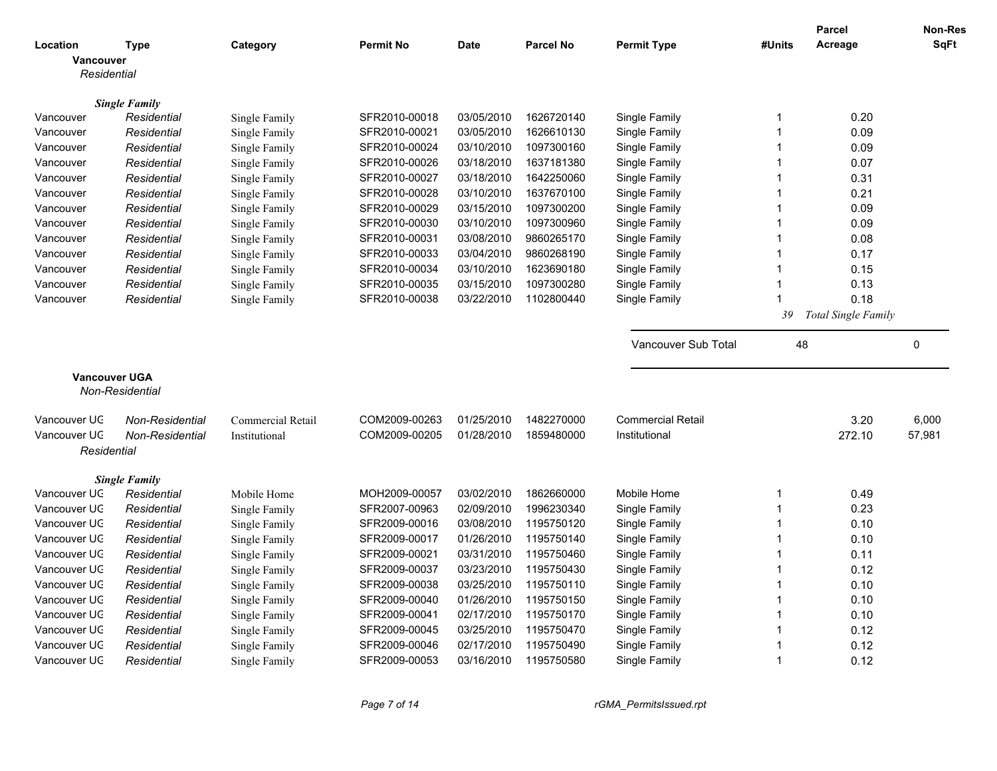|                      |                                     |                          |                  |             |                  |                            |              | <b>Parcel</b>       | <b>Non-Res</b> |
|----------------------|-------------------------------------|--------------------------|------------------|-------------|------------------|----------------------------|--------------|---------------------|----------------|
| Location             | <b>Type</b>                         | Category                 | <b>Permit No</b> | <b>Date</b> | <b>Parcel No</b> | <b>Permit Type</b>         | #Units       | Acreage             | <b>SqFt</b>    |
| Vancouver            |                                     |                          |                  |             |                  |                            |              |                     |                |
| Residential          |                                     |                          |                  |             |                  |                            |              |                     |                |
|                      |                                     |                          |                  |             |                  |                            |              |                     |                |
| Vancouver            | <b>Single Family</b><br>Residential | Single Family            | SFR2010-00018    | 03/05/2010  | 1626720140       | Single Family              | 1            | 0.20                |                |
| Vancouver            | Residential                         |                          | SFR2010-00021    | 03/05/2010  | 1626610130       | Single Family              | $\mathbf 1$  | 0.09                |                |
|                      |                                     | Single Family            | SFR2010-00024    | 03/10/2010  | 1097300160       | Single Family              | $\mathbf{1}$ | 0.09                |                |
| Vancouver            | Residential                         | Single Family            |                  | 03/18/2010  | 1637181380       |                            | $\mathbf{1}$ |                     |                |
| Vancouver            | Residential                         | Single Family            | SFR2010-00026    |             |                  | Single Family              |              | 0.07                |                |
| Vancouver            | Residential                         | Single Family            | SFR2010-00027    | 03/18/2010  | 1642250060       | Single Family              | 1            | 0.31                |                |
| Vancouver            | Residential                         | Single Family            | SFR2010-00028    | 03/10/2010  | 1637670100       | Single Family              | 1            | 0.21                |                |
| Vancouver            | Residential                         | Single Family            | SFR2010-00029    | 03/15/2010  | 1097300200       | Single Family              | $\mathbf{1}$ | 0.09                |                |
| Vancouver            | Residential                         | Single Family            | SFR2010-00030    | 03/10/2010  | 1097300960       | Single Family              | $\mathbf{1}$ | 0.09                |                |
| Vancouver            | Residential                         | Single Family            | SFR2010-00031    | 03/08/2010  | 9860265170       | Single Family              | 1            | 0.08                |                |
| Vancouver            | Residential                         | Single Family            | SFR2010-00033    | 03/04/2010  | 9860268190       | Single Family              | $\mathbf{1}$ | 0.17                |                |
| Vancouver            | Residential                         | Single Family            | SFR2010-00034    | 03/10/2010  | 1623690180       | Single Family              | $\mathbf{1}$ | 0.15                |                |
| Vancouver            | Residential                         | Single Family            | SFR2010-00035    | 03/15/2010  | 1097300280       | Single Family              | $\mathbf 1$  | 0.13                |                |
| Vancouver            | Residential                         | Single Family            | SFR2010-00038    | 03/22/2010  | 1102800440       | Single Family              | 1            | 0.18                |                |
|                      |                                     |                          |                  |             |                  |                            | 39           | Total Single Family |                |
|                      |                                     |                          |                  |             |                  |                            |              |                     |                |
|                      |                                     |                          |                  |             |                  | <b>Vancouver Sub Total</b> | 48           |                     | 0              |
| <b>Vancouver UGA</b> |                                     |                          |                  |             |                  |                            |              |                     |                |
|                      | <b>Non-Residential</b>              |                          |                  |             |                  |                            |              |                     |                |
|                      |                                     |                          |                  |             |                  |                            |              |                     |                |
| Vancouver UC         | Non-Residential                     | <b>Commercial Retail</b> | COM2009-00263    | 01/25/2010  | 1482270000       | <b>Commercial Retail</b>   |              | 3.20                | 6,000          |
| Vancouver UC         | Non-Residential                     | Institutional            | COM2009-00205    | 01/28/2010  | 1859480000       | Institutional              |              | 272.10              | 57,981         |
| Residential          |                                     |                          |                  |             |                  |                            |              |                     |                |
|                      |                                     |                          |                  |             |                  |                            |              |                     |                |
|                      | <b>Single Family</b>                |                          |                  |             |                  |                            |              |                     |                |
| Vancouver UC         | Residential                         | Mobile Home              | MOH2009-00057    | 03/02/2010  | 1862660000       | Mobile Home                | 1            | 0.49                |                |
| Vancouver UC         | Residential                         | Single Family            | SFR2007-00963    | 02/09/2010  | 1996230340       | Single Family              | $\mathbf{1}$ | 0.23                |                |
| Vancouver UC         | Residential                         | Single Family            | SFR2009-00016    | 03/08/2010  | 1195750120       | Single Family              | $\mathbf{1}$ | 0.10                |                |
| Vancouver UC         | Residential                         | Single Family            | SFR2009-00017    | 01/26/2010  | 1195750140       | Single Family              | $\mathbf{1}$ | 0.10                |                |
| Vancouver UC         | Residential                         | Single Family            | SFR2009-00021    | 03/31/2010  | 1195750460       | Single Family              | 1            | 0.11                |                |
| Vancouver UC         | Residential                         | Single Family            | SFR2009-00037    | 03/23/2010  | 1195750430       | Single Family              | 1            | 0.12                |                |
| Vancouver UC         | Residential                         | Single Family            | SFR2009-00038    | 03/25/2010  | 1195750110       | Single Family              | 1            | 0.10                |                |
| Vancouver UC         | Residential                         | Single Family            | SFR2009-00040    | 01/26/2010  | 1195750150       | Single Family              | $\mathbf{1}$ | 0.10                |                |
| Vancouver UC         | Residential                         | Single Family            | SFR2009-00041    | 02/17/2010  | 1195750170       | Single Family              | $\mathbf{1}$ | 0.10                |                |
| Vancouver UC         | Residential                         | Single Family            | SFR2009-00045    | 03/25/2010  | 1195750470       | Single Family              | $\mathbf{1}$ | 0.12                |                |
| Vancouver UC         | Residential                         | Single Family            | SFR2009-00046    | 02/17/2010  | 1195750490       | Single Family              | 1            | 0.12                |                |
| Vancouver UC         | Residential                         | Single Family            | SFR2009-00053    | 03/16/2010  | 1195750580       | Single Family              | $\mathbf{1}$ | 0.12                |                |
|                      |                                     |                          |                  |             |                  |                            |              |                     |                |

*Page 7 of 14 rGMA\_PermitsIssued.rpt*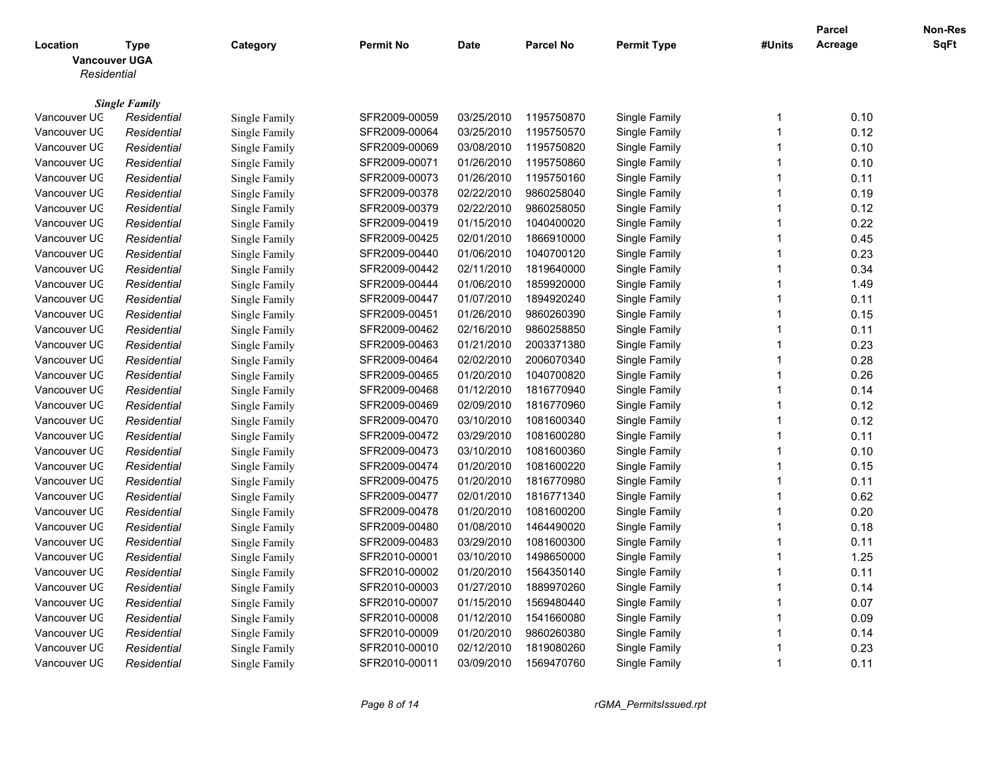|                                                 |                      |               |                  |             |                  |                    |                         | <b>Parcel</b> | Non-Res |
|-------------------------------------------------|----------------------|---------------|------------------|-------------|------------------|--------------------|-------------------------|---------------|---------|
| Location<br><b>Vancouver UGA</b><br>Residential | <b>Type</b>          | Category      | <b>Permit No</b> | <b>Date</b> | <b>Parcel No</b> | <b>Permit Type</b> | #Units                  | Acreage       | SqFt    |
|                                                 |                      |               |                  |             |                  |                    |                         |               |         |
|                                                 | <b>Single Family</b> |               |                  |             |                  |                    |                         |               |         |
| Vancouver UC                                    | Residential          | Single Family | SFR2009-00059    | 03/25/2010  | 1195750870       | Single Family      | -1                      | 0.10          |         |
| Vancouver UC                                    | Residential          | Single Family | SFR2009-00064    | 03/25/2010  | 1195750570       | Single Family      | $\overline{\mathbf{1}}$ | 0.12          |         |
| Vancouver UC                                    | Residential          | Single Family | SFR2009-00069    | 03/08/2010  | 1195750820       | Single Family      | $\overline{\mathbf{1}}$ | 0.10          |         |
| Vancouver UC                                    | Residential          | Single Family | SFR2009-00071    | 01/26/2010  | 1195750860       | Single Family      | $\overline{1}$          | 0.10          |         |
| Vancouver UC                                    | Residential          | Single Family | SFR2009-00073    | 01/26/2010  | 1195750160       | Single Family      | -1                      | 0.11          |         |
| Vancouver UC                                    | Residential          | Single Family | SFR2009-00378    | 02/22/2010  | 9860258040       | Single Family      | $\overline{1}$          | 0.19          |         |
| Vancouver UC                                    | Residential          | Single Family | SFR2009-00379    | 02/22/2010  | 9860258050       | Single Family      | $\overline{\mathbf{1}}$ | 0.12          |         |
| Vancouver UC                                    | Residential          | Single Family | SFR2009-00419    | 01/15/2010  | 1040400020       | Single Family      | $\overline{\mathbf{1}}$ | 0.22          |         |
| Vancouver UC                                    | Residential          | Single Family | SFR2009-00425    | 02/01/2010  | 1866910000       | Single Family      | $\overline{1}$          | 0.45          |         |
| Vancouver UC                                    | Residential          | Single Family | SFR2009-00440    | 01/06/2010  | 1040700120       | Single Family      | $\overline{\mathbf{1}}$ | 0.23          |         |
| Vancouver UC                                    | Residential          | Single Family | SFR2009-00442    | 02/11/2010  | 1819640000       | Single Family      | $\overline{\mathbf{1}}$ | 0.34          |         |
| Vancouver UC                                    | Residential          | Single Family | SFR2009-00444    | 01/06/2010  | 1859920000       | Single Family      | $\overline{1}$          | 1.49          |         |
| Vancouver UC                                    | Residential          | Single Family | SFR2009-00447    | 01/07/2010  | 1894920240       | Single Family      | $\overline{1}$          | 0.11          |         |
| Vancouver UC                                    | Residential          | Single Family | SFR2009-00451    | 01/26/2010  | 9860260390       | Single Family      | $\overline{1}$          | 0.15          |         |
| Vancouver UC                                    | Residential          | Single Family | SFR2009-00462    | 02/16/2010  | 9860258850       | Single Family      | $\overline{1}$          | 0.11          |         |
| Vancouver UC                                    | Residential          | Single Family | SFR2009-00463    | 01/21/2010  | 2003371380       | Single Family      | $\overline{1}$          | 0.23          |         |
| Vancouver UC                                    | Residential          | Single Family | SFR2009-00464    | 02/02/2010  | 2006070340       | Single Family      | 1                       | 0.28          |         |
| Vancouver UC                                    | Residential          | Single Family | SFR2009-00465    | 01/20/2010  | 1040700820       | Single Family      | $\overline{\mathbf{1}}$ | 0.26          |         |
| Vancouver UC                                    | Residential          | Single Family | SFR2009-00468    | 01/12/2010  | 1816770940       | Single Family      | $\overline{1}$          | 0.14          |         |
| Vancouver UC                                    | Residential          | Single Family | SFR2009-00469    | 02/09/2010  | 1816770960       | Single Family      | $\overline{\mathbf{1}}$ | 0.12          |         |
| Vancouver UC                                    | Residential          | Single Family | SFR2009-00470    | 03/10/2010  | 1081600340       | Single Family      | $\overline{1}$          | 0.12          |         |
| Vancouver UC                                    | Residential          | Single Family | SFR2009-00472    | 03/29/2010  | 1081600280       | Single Family      | $\overline{\mathbf{1}}$ | 0.11          |         |
| Vancouver UC                                    | Residential          | Single Family | SFR2009-00473    | 03/10/2010  | 1081600360       | Single Family      | $\overline{1}$          | 0.10          |         |
| Vancouver UC                                    | Residential          | Single Family | SFR2009-00474    | 01/20/2010  | 1081600220       | Single Family      | -1                      | 0.15          |         |
| Vancouver UC                                    | Residential          | Single Family | SFR2009-00475    | 01/20/2010  | 1816770980       | Single Family      | $\overline{1}$          | 0.11          |         |
| Vancouver UC                                    | Residential          | Single Family | SFR2009-00477    | 02/01/2010  | 1816771340       | Single Family      | $\overline{1}$          | 0.62          |         |
| Vancouver UC                                    | Residential          | Single Family | SFR2009-00478    | 01/20/2010  | 1081600200       | Single Family      | $\overline{\mathbf{1}}$ | 0.20          |         |
| Vancouver UC                                    | Residential          | Single Family | SFR2009-00480    | 01/08/2010  | 1464490020       | Single Family      | $\overline{\mathbf{1}}$ | 0.18          |         |
| Vancouver UC                                    | Residential          | Single Family | SFR2009-00483    | 03/29/2010  | 1081600300       | Single Family      | $\overline{\mathbf{1}}$ | 0.11          |         |
| Vancouver UC                                    | Residential          | Single Family | SFR2010-00001    | 03/10/2010  | 1498650000       | Single Family      | $\overline{1}$          | 1.25          |         |
| Vancouver UC                                    | Residential          | Single Family | SFR2010-00002    | 01/20/2010  | 1564350140       | Single Family      | $\overline{\mathbf{1}}$ | 0.11          |         |
| Vancouver UC                                    | Residential          | Single Family | SFR2010-00003    | 01/27/2010  | 1889970260       | Single Family      | $\overline{1}$          | 0.14          |         |
| Vancouver UC                                    | Residential          | Single Family | SFR2010-00007    | 01/15/2010  | 1569480440       | Single Family      | $\overline{1}$          | 0.07          |         |
| Vancouver UC                                    | Residential          | Single Family | SFR2010-00008    | 01/12/2010  | 1541660080       | Single Family      | 1                       | 0.09          |         |
| Vancouver UC                                    | Residential          | Single Family | SFR2010-00009    | 01/20/2010  | 9860260380       | Single Family      | $\overline{1}$          | 0.14          |         |
| Vancouver UC                                    | Residential          | Single Family | SFR2010-00010    | 02/12/2010  | 1819080260       | Single Family      | -1                      | 0.23          |         |
| Vancouver UC                                    | Residential          | Single Family | SFR2010-00011    | 03/09/2010  | 1569470760       | Single Family      | -1                      | 0.11          |         |
|                                                 |                      |               |                  |             |                  |                    |                         |               |         |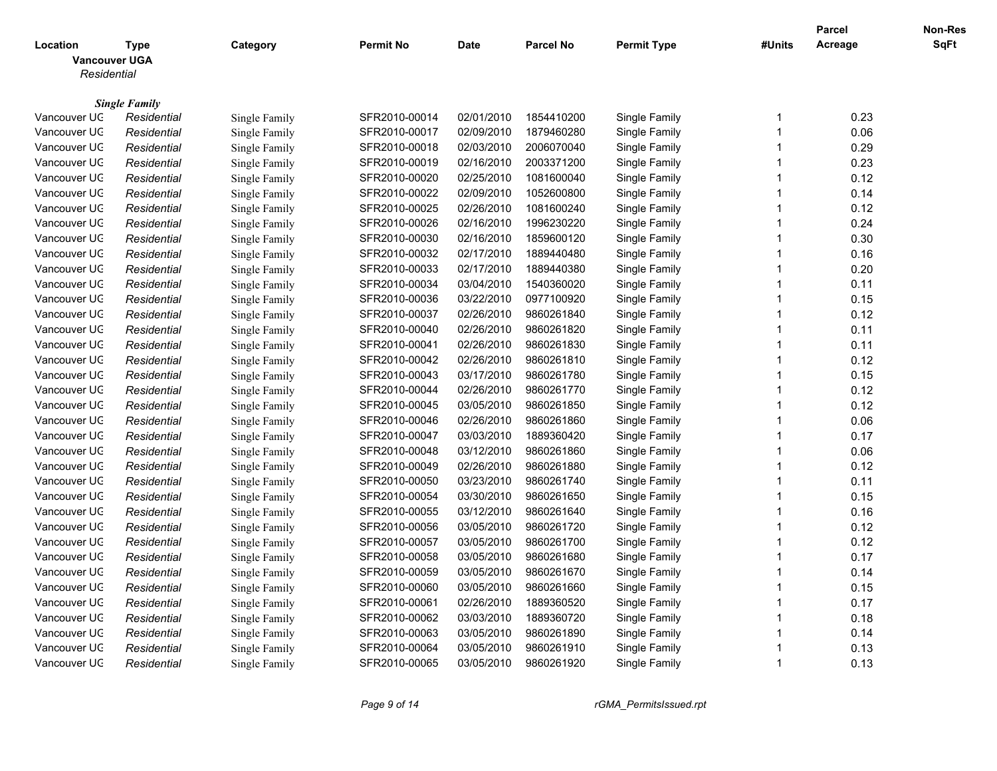|                                                 |                      |               |               |             |                  |                      |                         | <b>Parcel</b> | Non-Res |
|-------------------------------------------------|----------------------|---------------|---------------|-------------|------------------|----------------------|-------------------------|---------------|---------|
| Location<br><b>Vancouver UGA</b><br>Residential | Type                 | Category      | Permit No     | <b>Date</b> | <b>Parcel No</b> | <b>Permit Type</b>   | #Units                  | Acreage       | SqFt    |
|                                                 |                      |               |               |             |                  |                      |                         |               |         |
|                                                 | <b>Single Family</b> |               |               |             |                  |                      |                         |               |         |
| Vancouver UC                                    | Residential          | Single Family | SFR2010-00014 | 02/01/2010  | 1854410200       | Single Family        | -1                      | 0.23          |         |
| Vancouver UC                                    | Residential          | Single Family | SFR2010-00017 | 02/09/2010  | 1879460280       | Single Family        | $\overline{1}$          | 0.06          |         |
| Vancouver UC                                    | Residential          | Single Family | SFR2010-00018 | 02/03/2010  | 2006070040       | Single Family        | $\overline{\mathbf{1}}$ | 0.29          |         |
| Vancouver UC                                    | Residential          | Single Family | SFR2010-00019 | 02/16/2010  | 2003371200       | Single Family        | $\overline{1}$          | 0.23          |         |
| Vancouver UC                                    | Residential          | Single Family | SFR2010-00020 | 02/25/2010  | 1081600040       | Single Family        | -1                      | 0.12          |         |
| Vancouver UC                                    | Residential          | Single Family | SFR2010-00022 | 02/09/2010  | 1052600800       | Single Family        | $\overline{1}$          | 0.14          |         |
| Vancouver UC                                    | Residential          | Single Family | SFR2010-00025 | 02/26/2010  | 1081600240       | Single Family        | $\overline{1}$          | 0.12          |         |
| Vancouver UC                                    | Residential          | Single Family | SFR2010-00026 | 02/16/2010  | 1996230220       | Single Family        | $\overline{1}$          | 0.24          |         |
| Vancouver UC                                    | Residential          | Single Family | SFR2010-00030 | 02/16/2010  | 1859600120       | <b>Single Family</b> | -1                      | 0.30          |         |
| Vancouver UC                                    | Residential          | Single Family | SFR2010-00032 | 02/17/2010  | 1889440480       | Single Family        | $\overline{1}$          | 0.16          |         |
| Vancouver UC                                    | Residential          | Single Family | SFR2010-00033 | 02/17/2010  | 1889440380       | Single Family        | $\overline{\mathbf{1}}$ | 0.20          |         |
| Vancouver UC                                    | Residential          | Single Family | SFR2010-00034 | 03/04/2010  | 1540360020       | Single Family        | $\overline{\mathbf{1}}$ | 0.11          |         |
| Vancouver UC                                    | Residential          | Single Family | SFR2010-00036 | 03/22/2010  | 0977100920       | Single Family        | $\overline{1}$          | 0.15          |         |
| Vancouver UC                                    | Residential          | Single Family | SFR2010-00037 | 02/26/2010  | 9860261840       | Single Family        | $\overline{\mathbf{1}}$ | 0.12          |         |
| Vancouver UC                                    | Residential          | Single Family | SFR2010-00040 | 02/26/2010  | 9860261820       | Single Family        | 1                       | 0.11          |         |
| Vancouver UC                                    | Residential          | Single Family | SFR2010-00041 | 02/26/2010  | 9860261830       | Single Family        | $\overline{1}$          | 0.11          |         |
| Vancouver UC                                    | Residential          | Single Family | SFR2010-00042 | 02/26/2010  | 9860261810       | Single Family        | $\overline{1}$          | 0.12          |         |
| Vancouver UC                                    | Residential          | Single Family | SFR2010-00043 | 03/17/2010  | 9860261780       | Single Family        | $\overline{1}$          | 0.15          |         |
| Vancouver UC                                    | Residential          | Single Family | SFR2010-00044 | 02/26/2010  | 9860261770       | Single Family        | $\overline{1}$          | 0.12          |         |
| Vancouver UC                                    | Residential          | Single Family | SFR2010-00045 | 03/05/2010  | 9860261850       | Single Family        | $\overline{\mathbf{1}}$ | 0.12          |         |
| Vancouver UC                                    | Residential          | Single Family | SFR2010-00046 | 02/26/2010  | 9860261860       | Single Family        | $\overline{1}$          | 0.06          |         |
| Vancouver UC                                    | Residential          | Single Family | SFR2010-00047 | 03/03/2010  | 1889360420       | Single Family        | $\overline{1}$          | 0.17          |         |
| Vancouver UC                                    | Residential          | Single Family | SFR2010-00048 | 03/12/2010  | 9860261860       | Single Family        | 1                       | 0.06          |         |
| Vancouver UC                                    | Residential          | Single Family | SFR2010-00049 | 02/26/2010  | 9860261880       | Single Family        | $\overline{1}$          | 0.12          |         |
| Vancouver UC                                    | Residential          | Single Family | SFR2010-00050 | 03/23/2010  | 9860261740       | Single Family        | $\overline{\mathbf{1}}$ | 0.11          |         |
| Vancouver UC                                    | Residential          | Single Family | SFR2010-00054 | 03/30/2010  | 9860261650       | Single Family        | $\overline{\mathbf{1}}$ | 0.15          |         |
| Vancouver UC                                    | Residential          | Single Family | SFR2010-00055 | 03/12/2010  | 9860261640       | Single Family        | $\overline{1}$          | 0.16          |         |
| Vancouver UC                                    | Residential          | Single Family | SFR2010-00056 | 03/05/2010  | 9860261720       | Single Family        | -1                      | 0.12          |         |
| Vancouver UC                                    | Residential          | Single Family | SFR2010-00057 | 03/05/2010  | 9860261700       | Single Family        | $\overline{1}$          | 0.12          |         |
| Vancouver UC                                    | Residential          | Single Family | SFR2010-00058 | 03/05/2010  | 9860261680       | Single Family        | $\overline{1}$          | 0.17          |         |
| Vancouver UC                                    | Residential          | Single Family | SFR2010-00059 | 03/05/2010  | 9860261670       | Single Family        | $\overline{\mathbf{1}}$ | 0.14          |         |
| Vancouver UC                                    | Residential          | Single Family | SFR2010-00060 | 03/05/2010  | 9860261660       | Single Family        | $\overline{1}$          | 0.15          |         |
| Vancouver UC                                    | Residential          | Single Family | SFR2010-00061 | 02/26/2010  | 1889360520       | Single Family        | $\overline{1}$          | 0.17          |         |
| Vancouver UC                                    | Residential          | Single Family | SFR2010-00062 | 03/03/2010  | 1889360720       | Single Family        | 1                       | 0.18          |         |
| Vancouver UC                                    | Residential          | Single Family | SFR2010-00063 | 03/05/2010  | 9860261890       | Single Family        | $\overline{1}$          | 0.14          |         |
| Vancouver UC                                    | Residential          | Single Family | SFR2010-00064 | 03/05/2010  | 9860261910       | Single Family        | 1                       | 0.13          |         |
| Vancouver UC                                    | Residential          | Single Family | SFR2010-00065 | 03/05/2010  | 9860261920       | Single Family        | $\overline{1}$          | 0.13          |         |
|                                                 |                      |               |               |             |                  |                      |                         |               |         |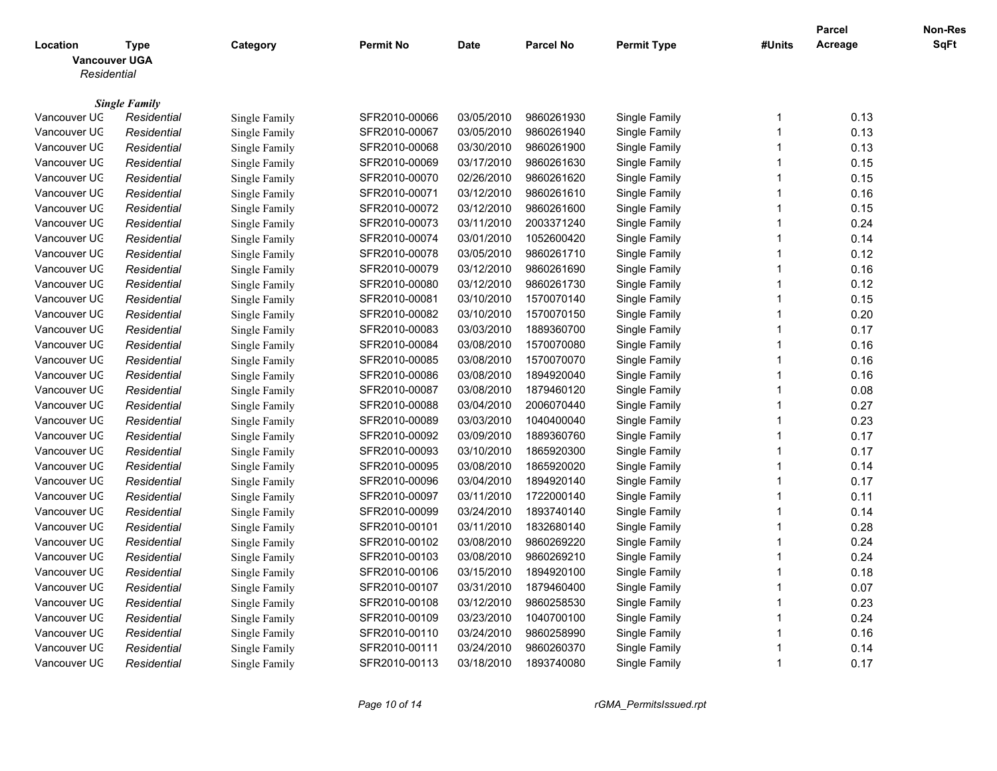|                                                 |                                     |               |                  |             |                  |                    |                         | <b>Parcel</b> | <b>Non-Res</b> |
|-------------------------------------------------|-------------------------------------|---------------|------------------|-------------|------------------|--------------------|-------------------------|---------------|----------------|
| Location<br><b>Vancouver UGA</b><br>Residential | <b>Type</b>                         | Category      | <b>Permit No</b> | <b>Date</b> | <b>Parcel No</b> | <b>Permit Type</b> | #Units                  | Acreage       | <b>SqFt</b>    |
|                                                 |                                     |               |                  |             |                  |                    |                         |               |                |
| Vancouver UC                                    | <b>Single Family</b><br>Residential | Single Family | SFR2010-00066    | 03/05/2010  | 9860261930       | Single Family      | -1                      | 0.13          |                |
| Vancouver UC                                    | Residential                         | Single Family | SFR2010-00067    | 03/05/2010  | 9860261940       | Single Family      | $\overline{\mathbf{1}}$ | 0.13          |                |
| Vancouver UC                                    | Residential                         | Single Family | SFR2010-00068    | 03/30/2010  | 9860261900       | Single Family      | $\overline{1}$          | 0.13          |                |
| Vancouver UC                                    | Residential                         | Single Family | SFR2010-00069    | 03/17/2010  | 9860261630       | Single Family      | $\overline{1}$          | 0.15          |                |
| Vancouver UC                                    | Residential                         | Single Family | SFR2010-00070    | 02/26/2010  | 9860261620       | Single Family      | -1                      | 0.15          |                |
| Vancouver UC                                    | Residential                         | Single Family | SFR2010-00071    | 03/12/2010  | 9860261610       | Single Family      | $\overline{1}$          | 0.16          |                |
| Vancouver UC                                    | Residential                         | Single Family | SFR2010-00072    | 03/12/2010  | 9860261600       | Single Family      | $\overline{1}$          | 0.15          |                |
| Vancouver UC                                    | Residential                         | Single Family | SFR2010-00073    | 03/11/2010  | 2003371240       | Single Family      | $\overline{1}$          | 0.24          |                |
| Vancouver UC                                    | Residential                         | Single Family | SFR2010-00074    | 03/01/2010  | 1052600420       | Single Family      | 1                       | 0.14          |                |
| Vancouver UC                                    | Residential                         | Single Family | SFR2010-00078    | 03/05/2010  | 9860261710       | Single Family      | $\overline{1}$          | 0.12          |                |
| Vancouver UC                                    | Residential                         | Single Family | SFR2010-00079    | 03/12/2010  | 9860261690       | Single Family      | $\overline{1}$          | 0.16          |                |
| Vancouver UC                                    | Residential                         | Single Family | SFR2010-00080    | 03/12/2010  | 9860261730       | Single Family      | $\overline{1}$          | 0.12          |                |
| Vancouver UC                                    | Residential                         | Single Family | SFR2010-00081    | 03/10/2010  | 1570070140       | Single Family      | $\overline{\mathbf{1}}$ | 0.15          |                |
| Vancouver UC                                    | Residential                         | Single Family | SFR2010-00082    | 03/10/2010  | 1570070150       | Single Family      | $\overline{\mathbf{1}}$ | 0.20          |                |
| Vancouver UC                                    | Residential                         | Single Family | SFR2010-00083    | 03/03/2010  | 1889360700       | Single Family      | $\overline{1}$          | 0.17          |                |
| Vancouver UC                                    | Residential                         | Single Family | SFR2010-00084    | 03/08/2010  | 1570070080       | Single Family      | $\overline{1}$          | 0.16          |                |
| Vancouver UC                                    | Residential                         | Single Family | SFR2010-00085    | 03/08/2010  | 1570070070       | Single Family      | $\overline{1}$          | 0.16          |                |
| Vancouver UC                                    | Residential                         | Single Family | SFR2010-00086    | 03/08/2010  | 1894920040       | Single Family      | $\overline{\mathbf{1}}$ | 0.16          |                |
| Vancouver UC                                    | Residential                         | Single Family | SFR2010-00087    | 03/08/2010  | 1879460120       | Single Family      | $\overline{1}$          | 0.08          |                |
| Vancouver UC                                    | Residential                         | Single Family | SFR2010-00088    | 03/04/2010  | 2006070440       | Single Family      | -1                      | 0.27          |                |
| Vancouver UC                                    | Residential                         | Single Family | SFR2010-00089    | 03/03/2010  | 1040400040       | Single Family      | $\overline{1}$          | 0.23          |                |
| Vancouver UC                                    | Residential                         | Single Family | SFR2010-00092    | 03/09/2010  | 1889360760       | Single Family      | $\overline{\mathbf{1}}$ | 0.17          |                |
| Vancouver UC                                    | Residential                         | Single Family | SFR2010-00093    | 03/10/2010  | 1865920300       | Single Family      | $\overline{1}$          | 0.17          |                |
| Vancouver UC                                    | Residential                         | Single Family | SFR2010-00095    | 03/08/2010  | 1865920020       | Single Family      | -1                      | 0.14          |                |
| Vancouver UC                                    | Residential                         | Single Family | SFR2010-00096    | 03/04/2010  | 1894920140       | Single Family      | $\overline{1}$          | 0.17          |                |
| Vancouver UC                                    | Residential                         | Single Family | SFR2010-00097    | 03/11/2010  | 1722000140       | Single Family      | $\overline{1}$          | 0.11          |                |
| Vancouver UC                                    | Residential                         | Single Family | SFR2010-00099    | 03/24/2010  | 1893740140       | Single Family      | $\overline{\mathbf{1}}$ | 0.14          |                |
| Vancouver UC                                    | Residential                         | Single Family | SFR2010-00101    | 03/11/2010  | 1832680140       | Single Family      | $\overline{1}$          | 0.28          |                |
| Vancouver UC                                    | Residential                         | Single Family | SFR2010-00102    | 03/08/2010  | 9860269220       | Single Family      | $\overline{1}$          | 0.24          |                |
| Vancouver UC                                    | Residential                         | Single Family | SFR2010-00103    | 03/08/2010  | 9860269210       | Single Family      | 1                       | 0.24          |                |
| Vancouver UC                                    | Residential                         | Single Family | SFR2010-00106    | 03/15/2010  | 1894920100       | Single Family      | $\overline{1}$          | 0.18          |                |
| Vancouver UC                                    | Residential                         | Single Family | SFR2010-00107    | 03/31/2010  | 1879460400       | Single Family      | $\overline{1}$          | 0.07          |                |
| Vancouver UC                                    | Residential                         | Single Family | SFR2010-00108    | 03/12/2010  | 9860258530       | Single Family      | $\overline{\mathbf{1}}$ | 0.23          |                |
| Vancouver UC                                    | Residential                         | Single Family | SFR2010-00109    | 03/23/2010  | 1040700100       | Single Family      | 1                       | 0.24          |                |
| Vancouver UC                                    | Residential                         | Single Family | SFR2010-00110    | 03/24/2010  | 9860258990       | Single Family      | $\overline{1}$          | 0.16          |                |
| Vancouver UC                                    | Residential                         | Single Family | SFR2010-00111    | 03/24/2010  | 9860260370       | Single Family      | -1                      | 0.14          |                |
| Vancouver UC                                    | Residential                         | Single Family | SFR2010-00113    | 03/18/2010  | 1893740080       | Single Family      | $\overline{1}$          | 0.17          |                |
|                                                 |                                     |               |                  |             |                  |                    |                         |               |                |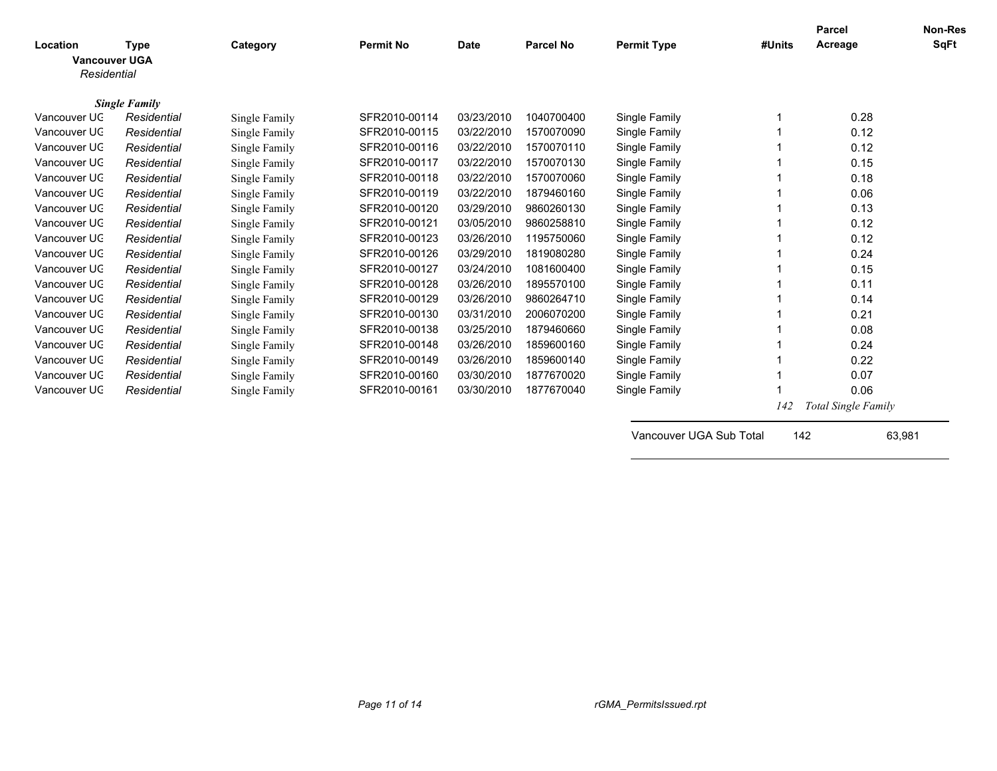| Location<br><b>Vancouver UGA</b><br>Residential | <b>Type</b>          | Category      | <b>Permit No</b> | <b>Date</b> | <b>Parcel No</b> | <b>Permit Type</b>      | #Units | <b>Parcel</b><br>Acreage | <b>Non-Res</b><br><b>SqFt</b> |
|-------------------------------------------------|----------------------|---------------|------------------|-------------|------------------|-------------------------|--------|--------------------------|-------------------------------|
|                                                 | <b>Single Family</b> |               |                  |             |                  |                         |        |                          |                               |
| Vancouver UC                                    | Residential          | Single Family | SFR2010-00114    | 03/23/2010  | 1040700400       | Single Family           | 1      | 0.28                     |                               |
| Vancouver UC                                    | Residential          | Single Family | SFR2010-00115    | 03/22/2010  | 1570070090       | Single Family           |        | 0.12                     |                               |
| Vancouver UC                                    | Residential          | Single Family | SFR2010-00116    | 03/22/2010  | 1570070110       | Single Family           |        | 0.12                     |                               |
| Vancouver UC                                    | Residential          | Single Family | SFR2010-00117    | 03/22/2010  | 1570070130       | Single Family           |        | 0.15                     |                               |
| Vancouver UC                                    | Residential          | Single Family | SFR2010-00118    | 03/22/2010  | 1570070060       | Single Family           |        | 0.18                     |                               |
| Vancouver UC                                    | Residential          | Single Family | SFR2010-00119    | 03/22/2010  | 1879460160       | Single Family           |        | 0.06                     |                               |
| Vancouver UC                                    | Residential          | Single Family | SFR2010-00120    | 03/29/2010  | 9860260130       | Single Family           |        | 0.13                     |                               |
| Vancouver UC                                    | Residential          | Single Family | SFR2010-00121    | 03/05/2010  | 9860258810       | Single Family           |        | 0.12                     |                               |
| Vancouver UC                                    | Residential          | Single Family | SFR2010-00123    | 03/26/2010  | 1195750060       | Single Family           |        | 0.12                     |                               |
| Vancouver UC                                    | Residential          | Single Family | SFR2010-00126    | 03/29/2010  | 1819080280       | Single Family           |        | 0.24                     |                               |
| Vancouver UC                                    | Residential          | Single Family | SFR2010-00127    | 03/24/2010  | 1081600400       | Single Family           |        | 0.15                     |                               |
| Vancouver UC                                    | Residential          | Single Family | SFR2010-00128    | 03/26/2010  | 1895570100       | Single Family           |        | 0.11                     |                               |
| Vancouver UC                                    | Residential          | Single Family | SFR2010-00129    | 03/26/2010  | 9860264710       | Single Family           |        | 0.14                     |                               |
| Vancouver UC                                    | Residential          | Single Family | SFR2010-00130    | 03/31/2010  | 2006070200       | Single Family           |        | 0.21                     |                               |
| Vancouver UC                                    | Residential          | Single Family | SFR2010-00138    | 03/25/2010  | 1879460660       | Single Family           |        | 0.08                     |                               |
| Vancouver UC                                    | Residential          | Single Family | SFR2010-00148    | 03/26/2010  | 1859600160       | Single Family           |        | 0.24                     |                               |
| Vancouver UC                                    | Residential          | Single Family | SFR2010-00149    | 03/26/2010  | 1859600140       | Single Family           |        | 0.22                     |                               |
| Vancouver UC                                    | Residential          | Single Family | SFR2010-00160    | 03/30/2010  | 1877670020       | Single Family           |        | 0.07                     |                               |
| Vancouver UC                                    | Residential          | Single Family | SFR2010-00161    | 03/30/2010  | 1877670040       | Single Family           |        | 0.06                     |                               |
|                                                 |                      |               |                  |             |                  |                         | 142    | Total Single Family      |                               |
|                                                 |                      |               |                  |             |                  | Vancouver UGA Sub Total | 142    |                          | 63,981                        |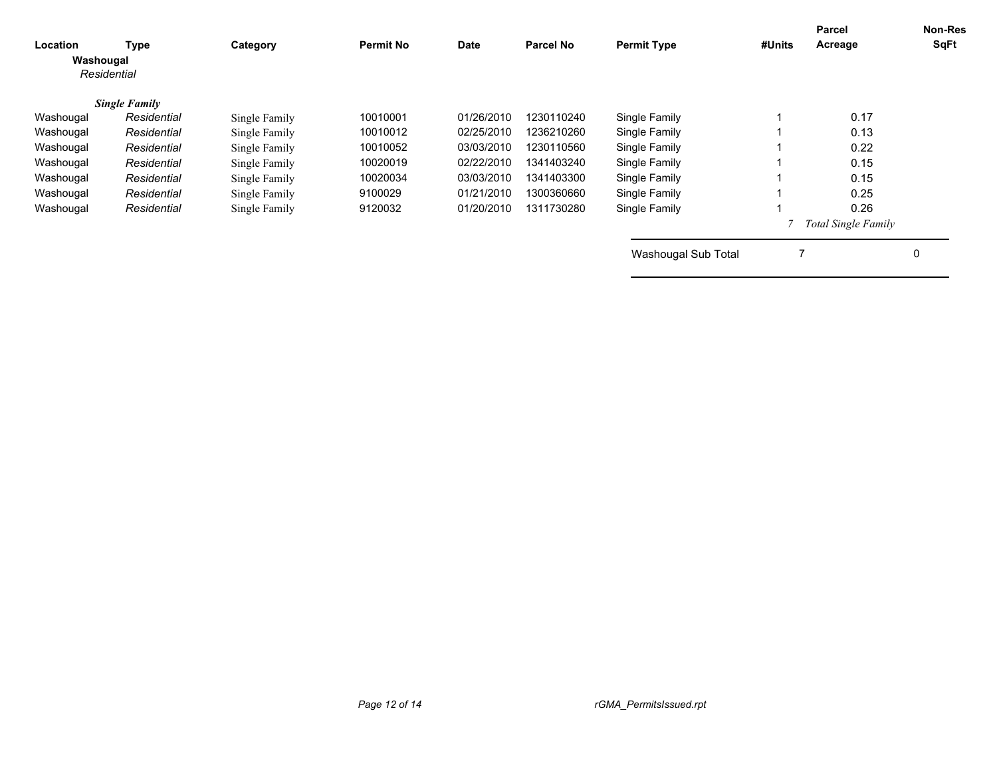| Location<br>Washougal<br>Residential | Type                 | Category      | <b>Permit No</b> | Date       | <b>Parcel No</b> | <b>Permit Type</b>  | #Units | Parcel<br>Acreage          | <b>Non-Res</b><br>SqFt |
|--------------------------------------|----------------------|---------------|------------------|------------|------------------|---------------------|--------|----------------------------|------------------------|
|                                      | <b>Single Family</b> |               |                  |            |                  |                     |        |                            |                        |
| Washougal                            | Residential          | Single Family | 10010001         | 01/26/2010 | 1230110240       | Single Family       |        | 0.17                       |                        |
| Washougal                            | Residential          | Single Family | 10010012         | 02/25/2010 | 1236210260       | Single Family       |        | 0.13                       |                        |
| Washougal                            | Residential          | Single Family | 10010052         | 03/03/2010 | 1230110560       | Single Family       |        | 0.22                       |                        |
| Washougal                            | Residential          | Single Family | 10020019         | 02/22/2010 | 1341403240       | Single Family       |        | 0.15                       |                        |
| Washougal                            | Residential          | Single Family | 10020034         | 03/03/2010 | 1341403300       | Single Family       |        | 0.15                       |                        |
| Washougal                            | Residential          | Single Family | 9100029          | 01/21/2010 | 1300360660       | Single Family       |        | 0.25                       |                        |
| Washougal                            | Residential          | Single Family | 9120032          | 01/20/2010 | 1311730280       | Single Family       |        | 0.26                       |                        |
|                                      |                      |               |                  |            |                  |                     |        | <b>Total Single Family</b> |                        |
|                                      |                      |               |                  |            |                  | Washougal Sub Total |        |                            |                        |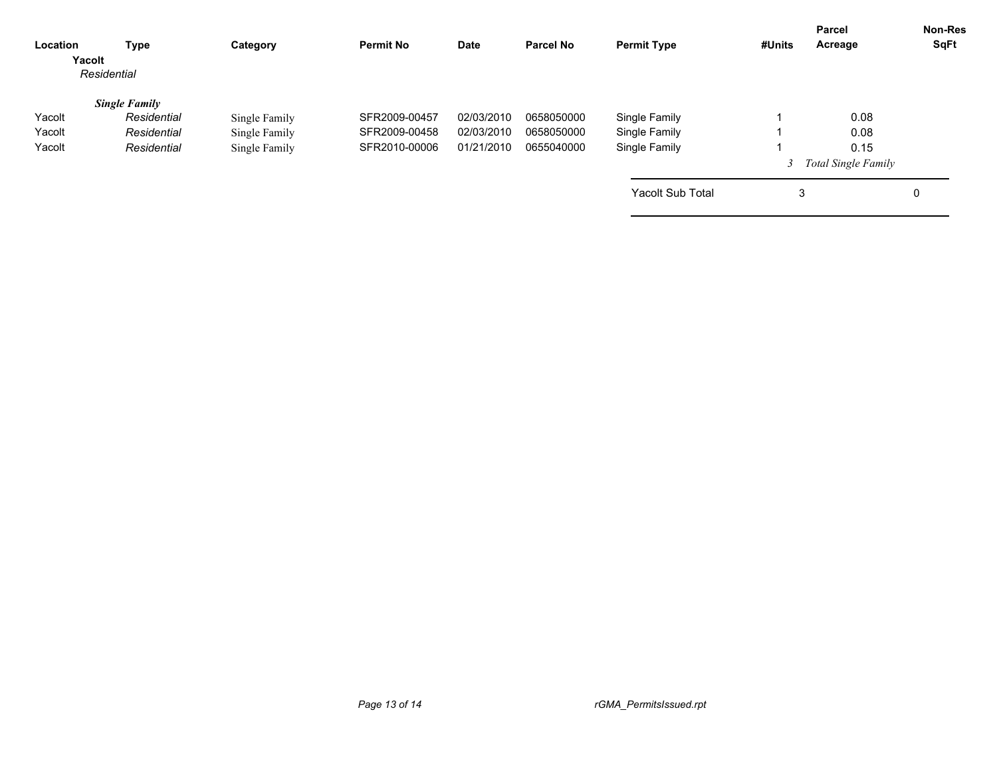| Location<br>Yacolt | Type<br>Residential  | Category      | <b>Permit No</b> | Date       | <b>Parcel No</b> | <b>Permit Type</b>      | #Units | <b>Parcel</b><br>Acreage   | <b>Non-Res</b><br>SqFt |
|--------------------|----------------------|---------------|------------------|------------|------------------|-------------------------|--------|----------------------------|------------------------|
|                    | <b>Single Family</b> |               |                  |            |                  |                         |        |                            |                        |
| Yacolt             | Residential          | Single Family | SFR2009-00457    | 02/03/2010 | 0658050000       | Single Family           |        | 0.08                       |                        |
| Yacolt             | Residential          | Single Family | SFR2009-00458    | 02/03/2010 | 0658050000       | Single Family           |        | 0.08                       |                        |
| Yacolt             | Residential          | Single Family | SFR2010-00006    | 01/21/2010 | 0655040000       | Single Family           |        | 0.15                       |                        |
|                    |                      |               |                  |            |                  |                         |        | <b>Total Single Family</b> |                        |
|                    |                      |               |                  |            |                  | <b>Yacolt Sub Total</b> | 3      |                            | 0                      |
|                    |                      |               |                  |            |                  |                         |        |                            |                        |